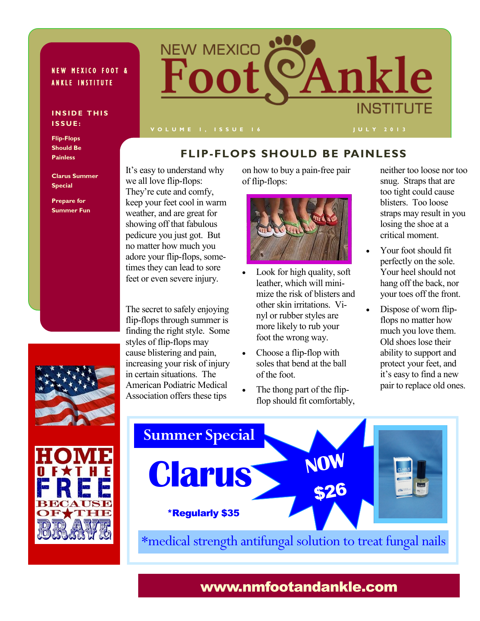### **NEW MEXICO FOOT & ANKLE INSTITUTE**

#### **INSIDE THIS I S S U E :**

**Flip-Flops Should Be Painless**

**Clarus Summer Special**

**Prepare for Summer Fun** keep your feet cool in warm weather, and are great for showing off that fabulous pedicure you just got. But no matter how much you adore your flip-flops, sometimes they can lead to sore feet or even severe injury.

It's easy to understand why

NEW MEXICO

we all love flip-flops: They're cute and comfy,

The secret to safely enjoying flip-flops through summer is finding the right style. Some styles of flip-flops may cause blistering and pain, increasing your risk of injury in certain situations. The American Podiatric Medical Association offers these tips

on how to buy a pain-free pair of flip-flops:

**FLIP-FLOPS SHOULD BE PAINLESS**

<sup>2</sup>Ankle

**INSTITUTE** 



- Look for high quality, soft leather, which will minimize the risk of blisters and other skin irritations. Vinyl or rubber styles are more likely to rub your foot the wrong way.
- Choose a flip-flop with soles that bend at the ball of the foot.
- The thong part of the flipflop should fit comfortably,

neither too loose nor too snug. Straps that are too tight could cause blisters. Too loose straps may result in you losing the shoe at a critical moment.

- Your foot should fit perfectly on the sole. Your heel should not hang off the back, nor your toes off the front.
- Dispose of worn flipflops no matter how much you love them. Old shoes lose their ability to support and protect your feet, and it's easy to find a new pair to replace old ones.





### www.nmfootandankle.com